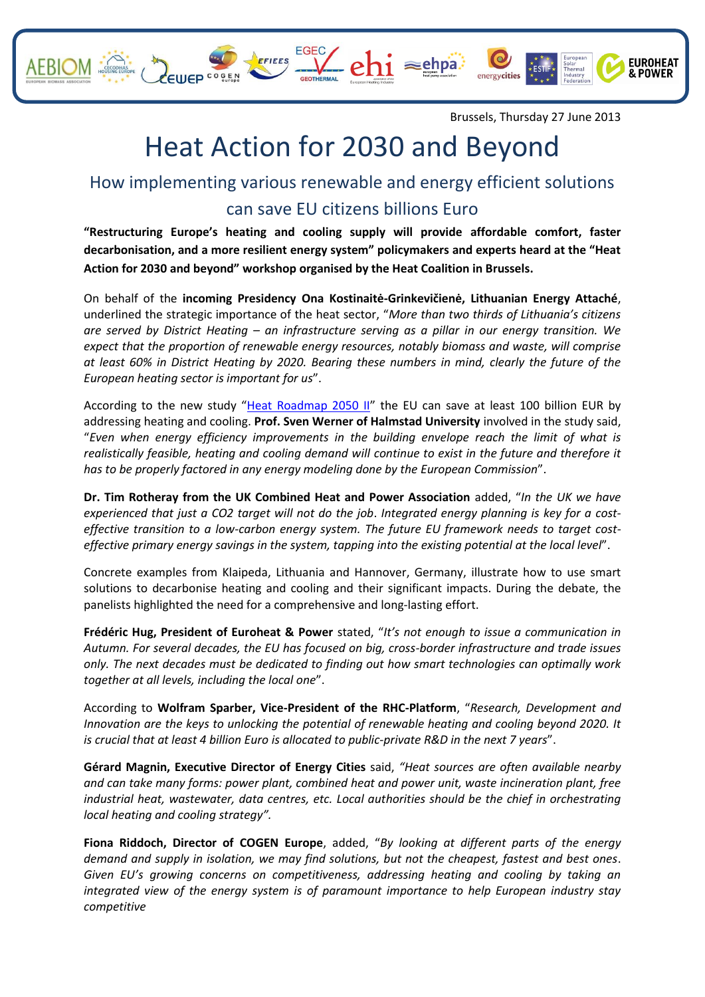



**EUROHEAT** & POWER

## Heat Action for 2030 and Beyond

## How implementing various renewable and energy efficient solutions can save EU citizens billions Euro

**"Restructuring Europe's heating and cooling supply will provide affordable comfort, faster decarbonisation, and a more resilient energy system" policymakers and experts heard at the "Heat Action for 2030 and beyond" workshop organised by the Heat Coalition in Brussels.** 

On behalf of the **incoming Presidency Ona Kostinaitė-Grinkevičienė, Lithuanian Energy Attaché**, underlined the strategic importance of the heat sector, "*More than two thirds of Lithuania's citizens are served by District Heating – an infrastructure serving as a pillar in our energy transition. We expect that the proportion of renewable energy resources, notably biomass and waste, will comprise at least 60% in District Heating by 2020. Bearing these numbers in mind, clearly the future of the European heating sector is important for us*".

According to the new study "[Heat Roadmap 2050 II](http://www.heatroadmap.eu/)" the EU can save at least 100 billion EUR by addressing heating and cooling. **Prof. Sven Werner of Halmstad University** involved in the study said, "*Even when energy efficiency improvements in the building envelope reach the limit of what is realistically feasible, heating and cooling demand will continue to exist in the future and therefore it has to be properly factored in any energy modeling done by the European Commission*".

**Dr. Tim Rotheray from the UK Combined Heat and Power Association** added, "*In the UK we have experienced that just a CO2 target will not do the job*. *Integrated energy planning is key for a costeffective transition to a low-carbon energy system. The future EU framework needs to target costeffective primary energy savings in the system, tapping into the existing potential at the local level*".

Concrete examples from Klaipeda, Lithuania and Hannover, Germany, illustrate how to use smart solutions to decarbonise heating and cooling and their significant impacts. During the debate, the panelists highlighted the need for a comprehensive and long-lasting effort.

**Frédéric Hug, President of Euroheat & Power** stated, "*It's not enough to issue a communication in Autumn. For several decades, the EU has focused on big, cross-border infrastructure and trade issues only. The next decades must be dedicated to finding out how smart technologies can optimally work together at all levels, including the local one*".

According to **Wolfram Sparber, Vice-President of the RHC-Platform**, "*Research, Development and Innovation are the keys to unlocking the potential of renewable heating and cooling beyond 2020. It is crucial that at least 4 billion Euro is allocated to public-private R&D in the next 7 years*".

**Gérard Magnin, Executive Director of Energy Cities** said, *"Heat sources are often available nearby and can take many forms: power plant, combined heat and power unit, waste incineration plant, free industrial heat, wastewater, data centres, etc. Local authorities should be the chief in orchestrating local heating and cooling strategy".*

**Fiona Riddoch, Director of COGEN Europe**, added, "*By looking at different parts of the energy demand and supply in isolation, we may find solutions, but not the cheapest, fastest and best ones*. *Given EU's growing concerns on competitiveness, addressing heating and cooling by taking an integrated view of the energy system is of paramount importance to help European industry stay competitive*